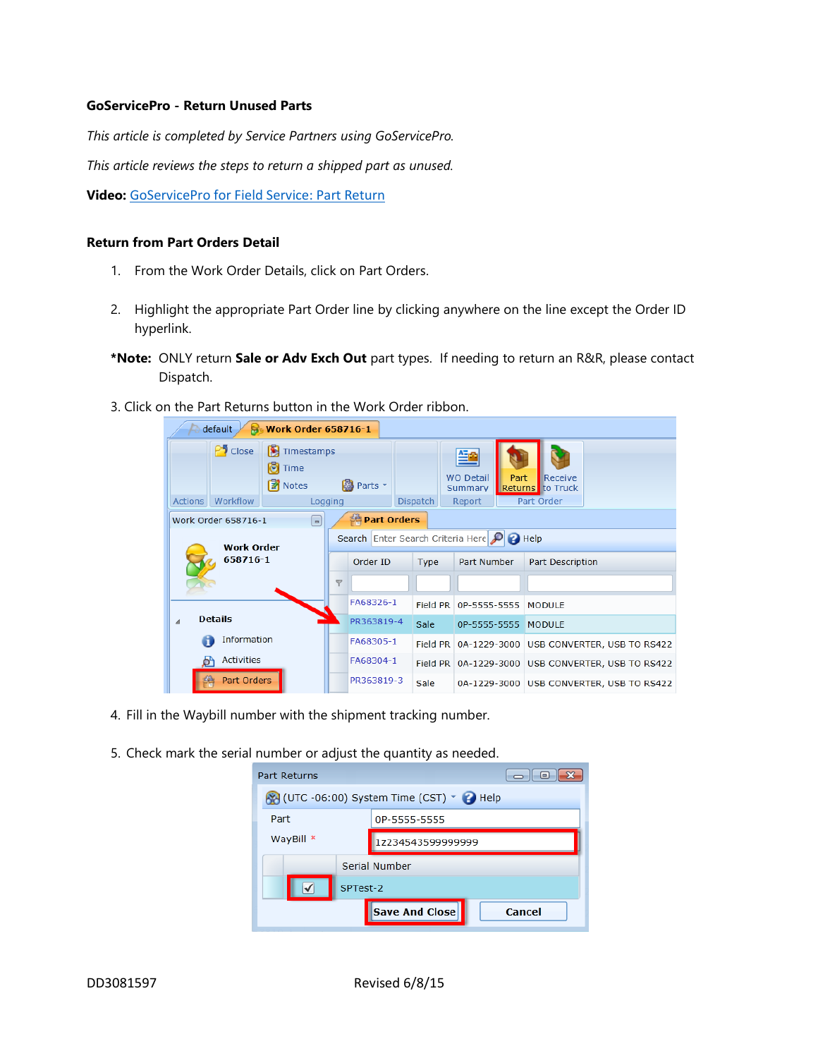## **GoServicePro - Return Unused Parts**

*This article is completed by Service Partners using GoServicePro.*

*This article reviews the steps to return a shipped part as unused.*

**Video:** [GoServicePro for Field Service: Part Return](https://gm1.geolearning.com/geonext/daktronics/coursesummary.coursecatalog.geo?id=22507558088)

## **Return from Part Orders Detail**

- 1. From the Work Order Details, click on Part Orders.
- 2. Highlight the appropriate Part Order line by clicking anywhere on the line except the Order ID hyperlink.
- **\*Note:** ONLY return **Sale or Adv Exch Out** part types. If needing to return an R&R, please contact Dispatch.
- 3. Click on the Part Returns button in the Work Order ribbon.



4. Fill in the Waybill number with the shipment tracking number.

5. Check mark the serial number or adjust the quantity as needed.

| Part Returns<br>$\blacksquare$          |                                 |  |  |  |  |  |  |  |  |
|-----------------------------------------|---------------------------------|--|--|--|--|--|--|--|--|
| (UTC -06:00) System Time (CST) v + Help |                                 |  |  |  |  |  |  |  |  |
| Part                                    | 0P-5555-5555                    |  |  |  |  |  |  |  |  |
| WayBill *                               | 1z234543599999999               |  |  |  |  |  |  |  |  |
|                                         | Serial Number                   |  |  |  |  |  |  |  |  |
|                                         | SPTest-2                        |  |  |  |  |  |  |  |  |
|                                         | <b>Save And Close</b><br>Cancel |  |  |  |  |  |  |  |  |